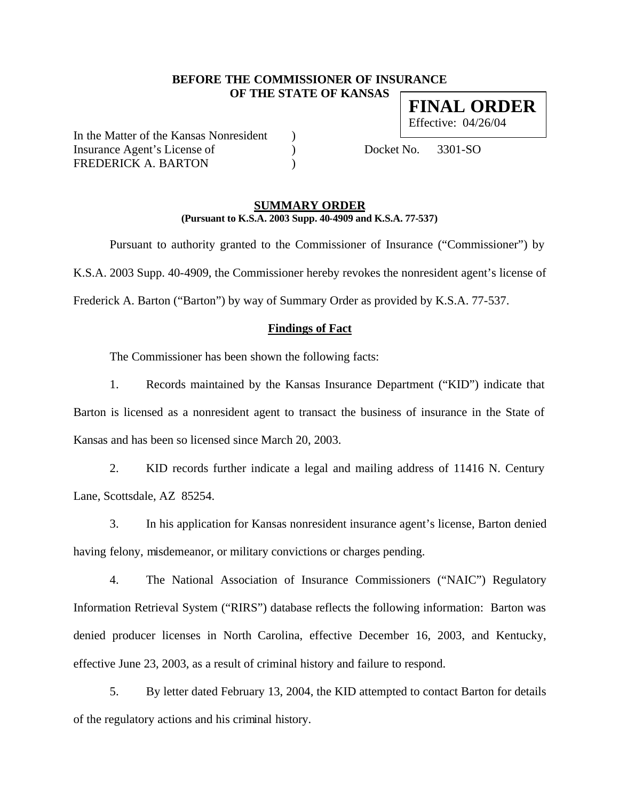# **BEFORE THE COMMISSIONER OF INSURANCE OF THE STATE OF KANSAS FINAL ORDER**

In the Matter of the Kansas Nonresident ) Insurance Agent's License of (a) Docket No. 3301-SO FREDERICK A. BARTON (1997)

Effective: 04/26/04

# **SUMMARY ORDER (Pursuant to K.S.A. 2003 Supp. 40-4909 and K.S.A. 77-537)**

Pursuant to authority granted to the Commissioner of Insurance ("Commissioner") by K.S.A. 2003 Supp. 40-4909, the Commissioner hereby revokes the nonresident agent's license of Frederick A. Barton ("Barton") by way of Summary Order as provided by K.S.A. 77-537.

# **Findings of Fact**

The Commissioner has been shown the following facts:

1. Records maintained by the Kansas Insurance Department ("KID") indicate that Barton is licensed as a nonresident agent to transact the business of insurance in the State of Kansas and has been so licensed since March 20, 2003.

2. KID records further indicate a legal and mailing address of 11416 N. Century Lane, Scottsdale, AZ 85254.

3. In his application for Kansas nonresident insurance agent's license, Barton denied having felony, misdemeanor, or military convictions or charges pending.

4. The National Association of Insurance Commissioners ("NAIC") Regulatory Information Retrieval System ("RIRS") database reflects the following information: Barton was denied producer licenses in North Carolina, effective December 16, 2003, and Kentucky, effective June 23, 2003, as a result of criminal history and failure to respond.

5. By letter dated February 13, 2004, the KID attempted to contact Barton for details of the regulatory actions and his criminal history.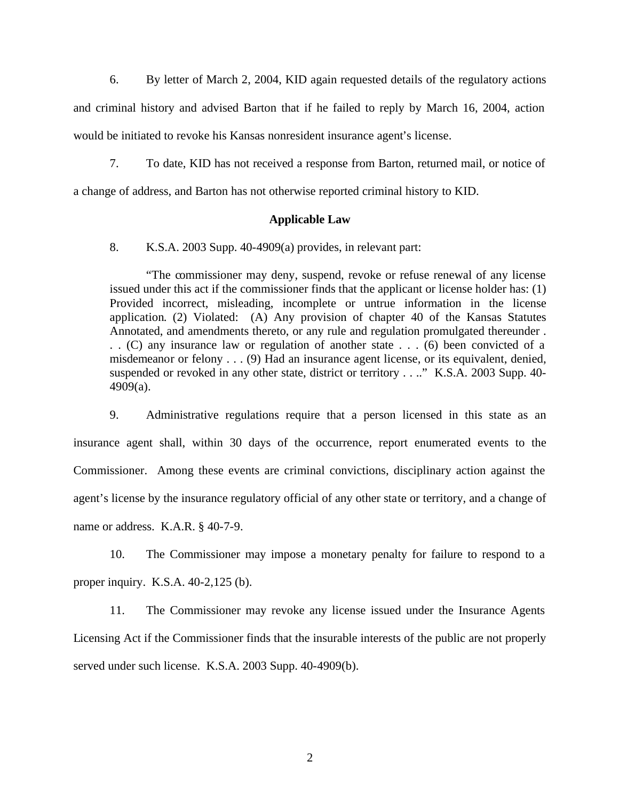6. By letter of March 2, 2004, KID again requested details of the regulatory actions and criminal history and advised Barton that if he failed to reply by March 16, 2004, action would be initiated to revoke his Kansas nonresident insurance agent's license.

7. To date, KID has not received a response from Barton, returned mail, or notice of

a change of address, and Barton has not otherwise reported criminal history to KID.

# **Applicable Law**

8. K.S.A. 2003 Supp. 40-4909(a) provides, in relevant part:

"The commissioner may deny, suspend, revoke or refuse renewal of any license issued under this act if the commissioner finds that the applicant or license holder has: (1) Provided incorrect, misleading, incomplete or untrue information in the license application. (2) Violated: (A) Any provision of chapter 40 of the Kansas Statutes Annotated, and amendments thereto, or any rule and regulation promulgated thereunder . . . (C) any insurance law or regulation of another state . . . (6) been convicted of a misdemeanor or felony . . . (9) Had an insurance agent license, or its equivalent, denied, suspended or revoked in any other state, district or territory . . .." K.S.A. 2003 Supp. 40- 4909(a).

9. Administrative regulations require that a person licensed in this state as an insurance agent shall, within 30 days of the occurrence, report enumerated events to the Commissioner. Among these events are criminal convictions, disciplinary action against the agent's license by the insurance regulatory official of any other state or territory, and a change of name or address. K.A.R. § 40-7-9.

10. The Commissioner may impose a monetary penalty for failure to respond to a proper inquiry. K.S.A. 40-2,125 (b).

11. The Commissioner may revoke any license issued under the Insurance Agents Licensing Act if the Commissioner finds that the insurable interests of the public are not properly served under such license. K.S.A. 2003 Supp. 40-4909(b).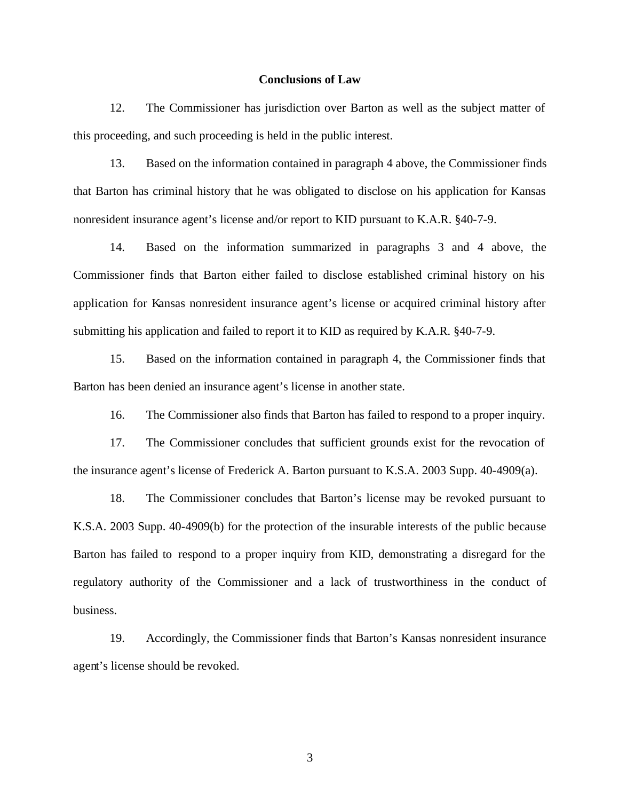#### **Conclusions of Law**

12. The Commissioner has jurisdiction over Barton as well as the subject matter of this proceeding, and such proceeding is held in the public interest.

13. Based on the information contained in paragraph 4 above, the Commissioner finds that Barton has criminal history that he was obligated to disclose on his application for Kansas nonresident insurance agent's license and/or report to KID pursuant to K.A.R. §40-7-9.

14. Based on the information summarized in paragraphs 3 and 4 above, the Commissioner finds that Barton either failed to disclose established criminal history on his application for Kansas nonresident insurance agent's license or acquired criminal history after submitting his application and failed to report it to KID as required by K.A.R. §40-7-9.

15. Based on the information contained in paragraph 4, the Commissioner finds that Barton has been denied an insurance agent's license in another state.

16. The Commissioner also finds that Barton has failed to respond to a proper inquiry.

17. The Commissioner concludes that sufficient grounds exist for the revocation of the insurance agent's license of Frederick A. Barton pursuant to K.S.A. 2003 Supp. 40-4909(a).

18. The Commissioner concludes that Barton's license may be revoked pursuant to K.S.A. 2003 Supp. 40-4909(b) for the protection of the insurable interests of the public because Barton has failed to respond to a proper inquiry from KID, demonstrating a disregard for the regulatory authority of the Commissioner and a lack of trustworthiness in the conduct of business.

19. Accordingly, the Commissioner finds that Barton's Kansas nonresident insurance agent's license should be revoked.

3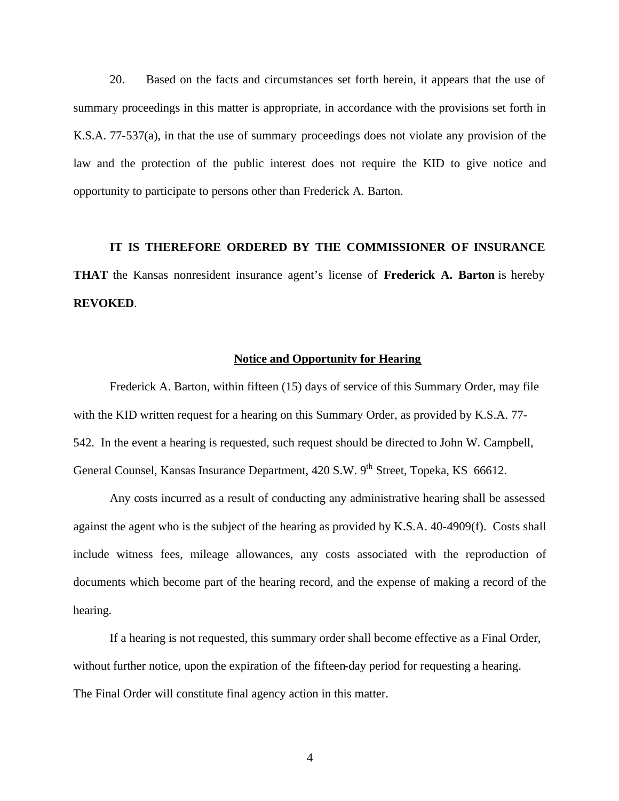20. Based on the facts and circumstances set forth herein, it appears that the use of summary proceedings in this matter is appropriate, in accordance with the provisions set forth in K.S.A. 77-537(a), in that the use of summary proceedings does not violate any provision of the law and the protection of the public interest does not require the KID to give notice and opportunity to participate to persons other than Frederick A. Barton.

# **IT IS THEREFORE ORDERED BY THE COMMISSIONER OF INSURANCE THAT** the Kansas nonresident insurance agent's license of **Frederick A. Barton** is hereby **REVOKED**.

### **Notice and Opportunity for Hearing**

Frederick A. Barton, within fifteen (15) days of service of this Summary Order, may file with the KID written request for a hearing on this Summary Order, as provided by K.S.A. 77- 542. In the event a hearing is requested, such request should be directed to John W. Campbell, General Counsel, Kansas Insurance Department, 420 S.W. 9<sup>th</sup> Street, Topeka, KS 66612.

Any costs incurred as a result of conducting any administrative hearing shall be assessed against the agent who is the subject of the hearing as provided by K.S.A. 40-4909(f). Costs shall include witness fees, mileage allowances, any costs associated with the reproduction of documents which become part of the hearing record, and the expense of making a record of the hearing.

If a hearing is not requested, this summary order shall become effective as a Final Order, without further notice, upon the expiration of the fifteen-day period for requesting a hearing. The Final Order will constitute final agency action in this matter.